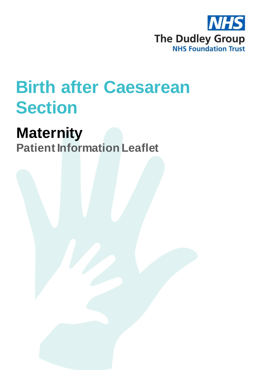

# **Birth after Caesarean Section**

# **Maternity**

**Patient Information Leaflet**

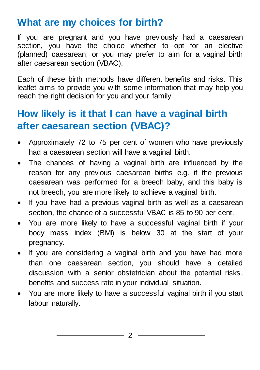#### **What are my choices for birth?**

If you are pregnant and you have previously had a caesarean section, you have the choice whether to opt for an elective (planned) caesarean, or you may prefer to aim for a vaginal birth after caesarean section (VBAC).

Each of these birth methods have different benefits and risks. This leaflet aims to provide you with some information that may help you reach the right decision for you and your family.

# **How likely is it that I can have a vaginal birth after caesarean section (VBAC)?**

- Approximately 72 to 75 per cent of women who have previously had a caesarean section will have a vaginal birth.
- The chances of having a vaginal birth are influenced by the reason for any previous caesarean births e.g. if the previous caesarean was performed for a breech baby, and this baby is not breech, you are more likely to achieve a vaginal birth.
- If you have had a previous vaginal birth as well as a caesarean section, the chance of a successful VBAC is 85 to 90 per cent.
- You are more likely to have a successful vaginal birth if your body mass index (BMI) is below 30 at the start of your pregnancy.
- If you are considering a vaginal birth and you have had more than one caesarean section, you should have a detailed discussion with a senior obstetrician about the potential risks, benefits and success rate in your individual situation.
- You are more likely to have a successful vaginal birth if you start labour naturally.

2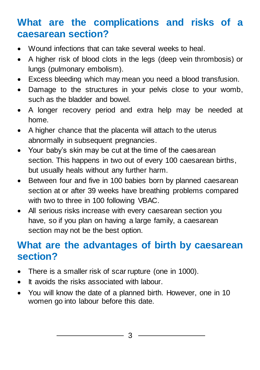# **What are the complications and risks of a caesarean section?**

- Wound infections that can take several weeks to heal.
- A higher risk of blood clots in the legs (deep vein thrombosis) or lungs (pulmonary embolism).
- Excess bleeding which may mean you need a blood transfusion.
- Damage to the structures in your pelvis close to your womb, such as the bladder and bowel.
- A longer recovery period and extra help may be needed at home.
- A higher chance that the placenta will attach to the uterus abnormally in subsequent pregnancies.
- Your baby's skin may be cut at the time of the caesarean section. This happens in two out of every 100 caesarean births, but usually heals without any further harm.
- Between four and five in 100 babies born by planned caesarean section at or after 39 weeks have breathing problems compared with two to three in 100 following VBAC.
- All serious risks increase with every caesarean section you have, so if you plan on having a large family, a caesarean section may not be the best option.

#### **What are the advantages of birth by caesarean section?**

- There is a smaller risk of scar rupture (one in 1000).
- It avoids the risks associated with labour.
- You will know the date of a planned birth. However, one in 10 women go into labour before this date.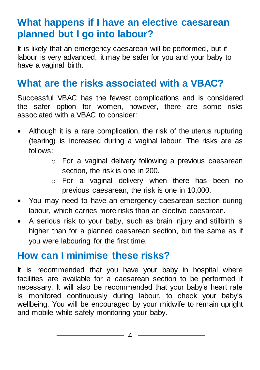# **What happens if I have an elective caesarean planned but I go into labour?**

It is likely that an emergency caesarean will be performed, but if labour is very advanced, it may be safer for you and your baby to have a vaginal birth.

### **What are the risks associated with a VBAC?**

Successful VBAC has the fewest complications and is considered the safer option for women, however, there are some risks associated with a VBAC to consider:

- Although it is a rare complication, the risk of the uterus rupturing (tearing) is increased during a vaginal labour. The risks are as follows:
	- o For a vaginal delivery following a previous caesarean section, the risk is one in 200.
	- o For a vaginal delivery when there has been no previous caesarean, the risk is one in 10,000.
- You may need to have an emergency caesarean section during labour, which carries more risks than an elective caesarean.
- A serious risk to your baby, such as brain injury and stillbirth is higher than for a planned caesarean section, but the same as if you were labouring for the first time.

#### **How can I minimise these risks?**

It is recommended that you have your baby in hospital where facilities are available for a caesarean section to be performed if necessary. It will also be recommended that your baby's heart rate is monitored continuously during labour, to check your baby's wellbeing. You will be encouraged by your midwife to remain upright and mobile while safely monitoring your baby.

4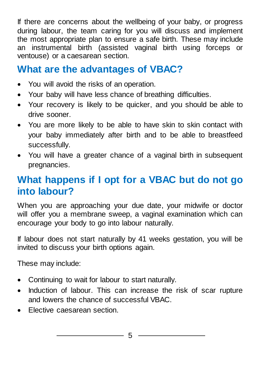If there are concerns about the wellbeing of your baby, or progress during labour, the team caring for you will discuss and implement the most appropriate plan to ensure a safe birth. These may include an instrumental birth (assisted vaginal birth using forceps or ventouse) or a caesarean section.

# **What are the advantages of VBAC?**

- You will avoid the risks of an operation.
- Your baby will have less chance of breathing difficulties.
- Your recovery is likely to be quicker, and you should be able to drive sooner.
- You are more likely to be able to have skin to skin contact with your baby immediately after birth and to be able to breastfeed successfully.
- You will have a greater chance of a vaginal birth in subsequent pregnancies.

# **What happens if I opt for a VBAC but do not go into labour?**

When you are approaching your due date, your midwife or doctor will offer you a membrane sweep, a vaginal examination which can encourage your body to go into labour naturally.

If labour does not start naturally by 41 weeks gestation, you will be invited to discuss your birth options again.

These may include:

- Continuing to wait for labour to start naturally.
- Induction of labour. This can increase the risk of scar rupture and lowers the chance of successful VBAC.
- Elective caesarean section.

 $-$  5 –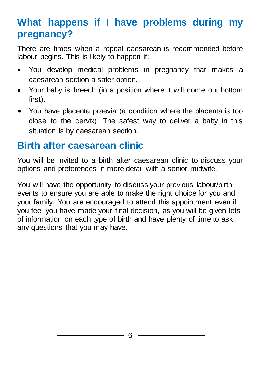# **What happens if I have problems during my pregnancy?**

There are times when a repeat caesarean is recommended before labour begins. This is likely to happen if:

- You develop medical problems in pregnancy that makes a caesarean section a safer option.
- Your baby is breech (in a position where it will come out bottom first).
- You have placenta praevia (a condition where the placenta is too close to the cervix). The safest way to deliver a baby in this situation is by caesarean section.

#### **Birth after caesarean clinic**

You will be invited to a birth after caesarean clinic to discuss your options and preferences in more detail with a senior midwife.

You will have the opportunity to discuss your previous labour/birth events to ensure you are able to make the right choice for you and your family. You are encouraged to attend this appointment even if you feel you have made your final decision, as you will be given lots of information on each type of birth and have plenty of time to ask any questions that you may have.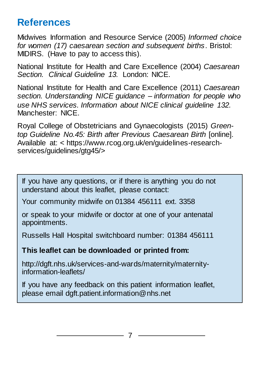#### **References**

Midwives Information and Resource Service (2005) *Informed choice for women (17) caesarean section and subsequent births*. Bristol: MIDIRS. (Have to pay to access this).

National Institute for Health and Care Excellence (2004) *Caesarean Section. Clinical Guideline 13.* London: NICE.

National Institute for Health and Care Excellence (2011) *Caesarean section. Understanding NICE guidance – information for people who use NHS services. Information about NICE clinical guideline 132.* Manchester: NICE.

Royal College of Obstetricians and Gynaecologists (2015) *Greentop Guideline No.45: Birth after Previous Caesarean Birth* [online]. Available at: < https://www.rcog.org.uk/en/guidelines-researchservices/guidelines/gtg45/>

If you have any questions, or if there is anything you do not understand about this leaflet, please contact:

Your community midwife on 01384 456111 ext. 3358

or speak to your midwife or doctor at one of your antenatal appointments.

Russells Hall Hospital switchboard number: 01384 456111

**This leaflet can be downloaded or printed from:**

http://dgft.nhs.uk/services-and-wards/maternity/maternityinformation-leaflets/

If you have any feedback on this patient information leaflet, please email dgft.patient.information@nhs.net